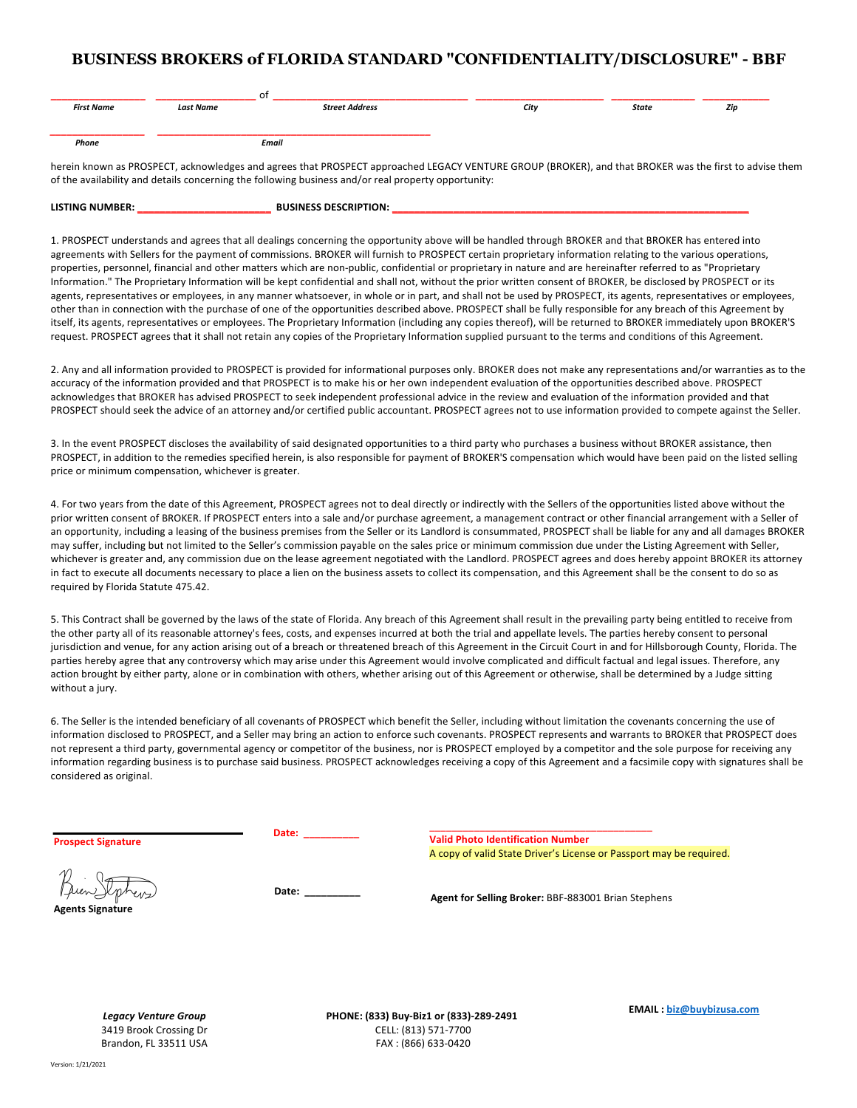## **BUSINESS BROKERS of FLORIDA STANDARD "CONFIDENTIALITY/DISCLOSURE" - BBF**

|                   |                  | 01                    |      |       |     |
|-------------------|------------------|-----------------------|------|-------|-----|
| <b>First Name</b> | <b>Last Name</b> | <b>Street Address</b> | City | State | Zip |
|                   |                  |                       |      |       |     |
|                   |                  |                       |      |       |     |
| Phone             |                  | Email                 |      |       |     |

herein known as PROSPECT, acknowledges and agrees that PROSPECT approached LEGACY VENTURE GROUP (BROKER), and that BROKER was the first to advise them of the availability and details concerning the following business and/or real property opportunity:

| <b>LISTING NUMBER:</b> | <b>BUSINESS DESCRIPTION:</b> |  |
|------------------------|------------------------------|--|
|                        |                              |  |

1. PROSPECT understands and agrees that all dealings concerning the opportunity above will be handled through BROKER and that BROKER has entered into agreements with Sellers for the payment of commissions. BROKER will furnish to PROSPECT certain proprietary information relating to the various operations, properties, personnel, financial and other matters which are non-public, confidential or proprietary in nature and are hereinafter referred to as "Proprietary Information." The Proprietary Information will be kept confidential and shall not, without the prior written consent of BROKER, be disclosed by PROSPECT or its agents, representatives or employees, in any manner whatsoever, in whole or in part, and shall not be used by PROSPECT, its agents, representatives or employees, other than in connection with the purchase of one of the opportunities described above. PROSPECT shall be fully responsible for any breach of this Agreement by itself, its agents, representatives or employees. The Proprietary Information (including any copies thereof), will be returned to BROKER immediately upon BROKER'S request. PROSPECT agrees that it shall not retain any copies of the Proprietary Information supplied pursuant to the terms and conditions of this Agreement.

2. Any and all information provided to PROSPECT is provided for informational purposes only. BROKER does not make any representations and/or warranties as to the accuracy of the information provided and that PROSPECT is to make his or her own independent evaluation of the opportunities described above. PROSPECT acknowledges that BROKER has advised PROSPECT to seek independent professional advice in the review and evaluation of the information provided and that PROSPECT should seek the advice of an attorney and/or certified public accountant. PROSPECT agrees not to use information provided to compete against the Seller.

3. In the event PROSPECT discloses the availability of said designated opportunities to a third party who purchases a business without BROKER assistance, then PROSPECT, in addition to the remedies specified herein, is also responsible for payment of BROKER'S compensation which would have been paid on the listed selling price or minimum compensation, whichever is greater.

4. For two years from the date of this Agreement, PROSPECT agrees not to deal directly or indirectly with the Sellers of the opportunities listed above without the prior written consent of BROKER. If PROSPECT enters into a sale and/or purchase agreement, a management contract or other financial arrangement with a Seller of an opportunity, including a leasing of the business premises from the Seller or its Landlord is consummated, PROSPECT shall be liable for any and all damages BROKER may suffer, including but not limited to the Seller's commission payable on the sales price or minimum commission due under the Listing Agreement with Seller, whichever is greater and, any commission due on the lease agreement negotiated with the Landlord. PROSPECT agrees and does hereby appoint BROKER its attorney in fact to execute all documents necessary to place a lien on the business assets to collect its compensation, and this Agreement shall be the consent to do so as required by Florida Statute 475.42.

5. This Contract shall be governed by the laws of the state of Florida. Any breach of this Agreement shall result in the prevailing party being entitled to receive from the other party all of its reasonable attorney's fees, costs, and expenses incurred at both the trial and appellate levels. The parties hereby consent to personal jurisdiction and venue, for any action arising out of a breach or threatened breach of this Agreement in the Circuit Court in and for Hillsborough County, Florida. The parties hereby agree that any controversy which may arise under this Agreement would involve complicated and difficult factual and legal issues. Therefore, any action brought by either party, alone or in combination with others, whether arising out of this Agreement or otherwise, shall be determined by a Judge sitting without a jury.

6. The Seller is the intended beneficiary of all covenants of PROSPECT which benefit the Seller, including without limitation the covenants concerning the use of information disclosed to PROSPECT, and a Seller may bring an action to enforce such covenants. PROSPECT represents and warrants to BROKER that PROSPECT does not represent a third party, governmental agency or competitor of the business, nor is PROSPECT employed by a competitor and the sole purpose for receiving any information regarding business is to purchase said business. PROSPECT acknowledges receiving a copy of this Agreement and a facsimile copy with signatures shall be considered as original.

**Prospect Signature Date: \_\_\_\_\_\_\_\_\_\_** \_\_\_\_\_\_\_\_\_\_\_\_\_\_\_\_\_\_\_\_\_\_\_\_\_\_\_\_\_\_\_\_\_\_\_\_\_\_\_\_ **Valid Photo Identification Number** A copy of valid State Driver's License or Passport may be required.

**Agents Signature**

 **Date: \_\_\_\_\_\_\_\_\_\_ Agent for Selling Broker:** BBF-883001 Brian Stephens

*Legacy Venture Group* 3419 Brook Crossing Dr Brandon, FL 33511 USA **PHONE: (833) Buy-Biz1 or (833)-289-2491** CELL: (813) 571-7700 FAX : (866) 633-0420

**EMAIL : biz@buybizusa.com**